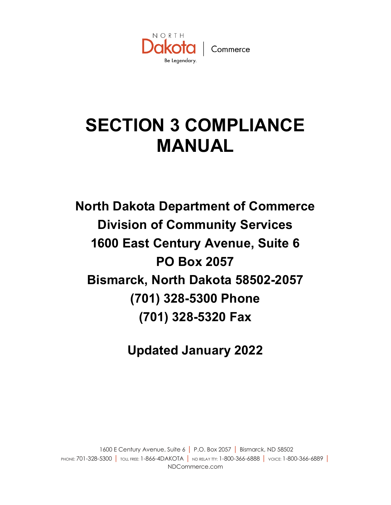

# **SECTION 3 COMPLIANCE MANUAL**

**North Dakota Department of Commerce Division of Community Services 1600 East Century Avenue, Suite 6 PO Box 2057 Bismarck, North Dakota 58502-2057 (701) 328-5300 Phone (701) 328-5320 Fax**

**Updated January 2022**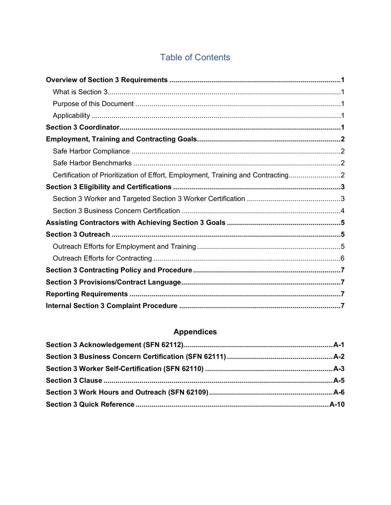# **Table of Contents**

| Certification of Prioritization of Effort, Employment, Training and Contracting2 |  |
|----------------------------------------------------------------------------------|--|
|                                                                                  |  |
|                                                                                  |  |
|                                                                                  |  |
|                                                                                  |  |
|                                                                                  |  |
|                                                                                  |  |
|                                                                                  |  |
|                                                                                  |  |
|                                                                                  |  |
|                                                                                  |  |
|                                                                                  |  |

# **Appendices**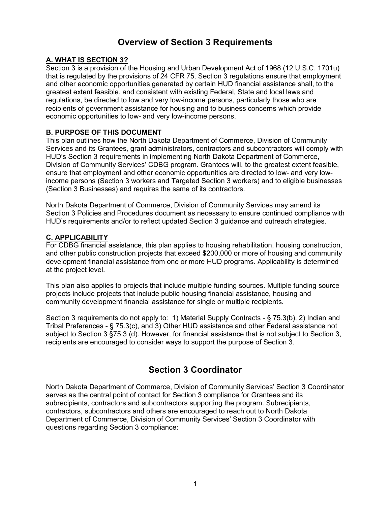# **Overview of Section 3 Requirements**

# **A. WHAT IS SECTION 3?**

Section 3 is a provision of the Housing and Urban Development Act of 1968 (12 U.S.C. 1701u) that is regulated by the provisions of 24 CFR 75. Section 3 regulations ensure that employment and other economic opportunities generated by certain HUD financial assistance shall, to the greatest extent feasible, and consistent with existing Federal, State and local laws and regulations, be directed to low and very low-income persons, particularly those who are recipients of government assistance for housing and to business concerns which provide economic opportunities to low- and very low-income persons.

## **B. PURPOSE OF THIS DOCUMENT**

This plan outlines how the North Dakota Department of Commerce, Division of Community Services and its Grantees, grant administrators, contractors and subcontractors will comply with HUD's Section 3 requirements in implementing North Dakota Department of Commerce, Division of Community Services' CDBG program. Grantees will, to the greatest extent feasible, ensure that employment and other economic opportunities are directed to low- and very lowincome persons (Section 3 workers and Targeted Section 3 workers) and to eligible businesses (Section 3 Businesses) and requires the same of its contractors.

North Dakota Department of Commerce, Division of Community Services may amend its Section 3 Policies and Procedures document as necessary to ensure continued compliance with HUD's requirements and/or to reflect updated Section 3 guidance and outreach strategies.

## **C. APPLICABILITY**

For CDBG financial assistance, this plan applies to housing rehabilitation, housing construction, and other public construction projects that exceed \$200,000 or more of housing and community development financial assistance from one or more HUD programs. Applicability is determined at the project level.

This plan also applies to projects that include multiple funding sources. Multiple funding source projects include projects that include public housing financial assistance, housing and community development financial assistance for single or multiple recipients.

Section 3 requirements do not apply to: 1) Material Supply Contracts - § 75.3(b), 2) Indian and Tribal Preferences - § 75.3(c), and 3) Other HUD assistance and other Federal assistance not subject to Section 3 §75.3 (d). However, for financial assistance that is not subject to Section 3, recipients are encouraged to consider ways to support the purpose of Section 3.

# **Section 3 Coordinator**

North Dakota Department of Commerce, Division of Community Services' Section 3 Coordinator serves as the central point of contact for Section 3 compliance for Grantees and its subrecipients, contractors and subcontractors supporting the program. Subrecipients, contractors, subcontractors and others are encouraged to reach out to North Dakota Department of Commerce, Division of Community Services' Section 3 Coordinator with questions regarding Section 3 compliance: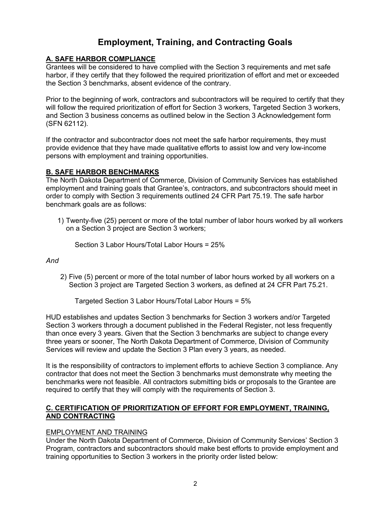# **Employment, Training, and Contracting Goals**

## **A. SAFE HARBOR COMPLIANCE**

Grantees will be considered to have complied with the Section 3 requirements and met safe harbor, if they certify that they followed the required prioritization of effort and met or exceeded the Section 3 benchmarks, absent evidence of the contrary.

Prior to the beginning of work, contractors and subcontractors will be required to certify that they will follow the required prioritization of effort for Section 3 workers, Targeted Section 3 workers, and Section 3 business concerns as outlined below in the Section 3 Acknowledgement form (SFN 62112).

If the contractor and subcontractor does not meet the safe harbor requirements, they must provide evidence that they have made qualitative efforts to assist low and very low-income persons with employment and training opportunities.

## **B. SAFE HARBOR BENCHMARKS**

The North Dakota Department of Commerce, Division of Community Services has established employment and training goals that Grantee's, contractors, and subcontractors should meet in order to comply with Section 3 requirements outlined 24 CFR Part 75.19. The safe harbor benchmark goals are as follows:

1) Twenty-five (25) percent or more of the total number of labor hours worked by all workers on a Section 3 project are Section 3 workers;

Section 3 Labor Hours/Total Labor Hours = 25%

*And*

2) Five (5) percent or more of the total number of labor hours worked by all workers on a Section 3 project are Targeted Section 3 workers, as defined at 24 CFR Part 75.21.

Targeted Section 3 Labor Hours/Total Labor Hours = 5%

HUD establishes and updates Section 3 benchmarks for Section 3 workers and/or Targeted Section 3 workers through a document published in the Federal Register, not less frequently than once every 3 years. Given that the Section 3 benchmarks are subject to change every three years or sooner, The North Dakota Department of Commerce, Division of Community Services will review and update the Section 3 Plan every 3 years, as needed.

It is the responsibility of contractors to implement efforts to achieve Section 3 compliance. Any contractor that does not meet the Section 3 benchmarks must demonstrate why meeting the benchmarks were not feasible. All contractors submitting bids or proposals to the Grantee are required to certify that they will comply with the requirements of Section 3.

## **C. CERTIFICATION OF PRIORITIZATION OF EFFORT FOR EMPLOYMENT, TRAINING, AND CONTRACTING**

## EMPLOYMENT AND TRAINING

Under the North Dakota Department of Commerce, Division of Community Services' Section 3 Program, contractors and subcontractors should make best efforts to provide employment and training opportunities to Section 3 workers in the priority order listed below: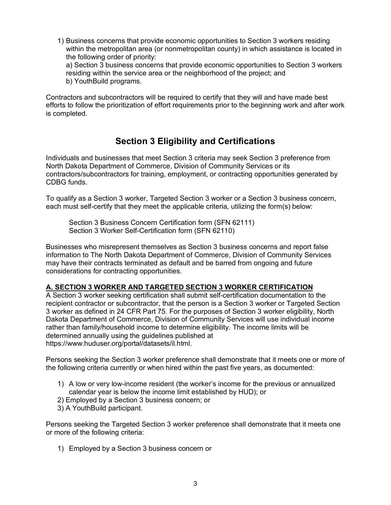1) Business concerns that provide economic opportunities to Section 3 workers residing within the metropolitan area (or nonmetropolitan county) in which assistance is located in the following order of priority: a) Section 3 business concerns that provide economic opportunities to Section 3 workers residing within the service area or the neighborhood of the project; and b) YouthBuild programs.

Contractors and subcontractors will be required to certify that they will and have made best efforts to follow the prioritization of effort requirements prior to the beginning work and after work is completed.

# **Section 3 Eligibility and Certifications**

Individuals and businesses that meet Section 3 criteria may seek Section 3 preference from North Dakota Department of Commerce, Division of Community Services or its contractors/subcontractors for training, employment, or contracting opportunities generated by CDBG funds.

To qualify as a Section 3 worker, Targeted Section 3 worker or a Section 3 business concern, each must self-certify that they meet the applicable criteria, utilizing the form(s) below:

Section 3 Business Concern Certification form (SFN 62111) Section 3 Worker Self-Certification form (SFN 62110)

Businesses who misrepresent themselves as Section 3 business concerns and report false information to The North Dakota Department of Commerce, Division of Community Services may have their contracts terminated as default and be barred from ongoing and future considerations for contracting opportunities.

## **A. SECTION 3 WORKER AND TARGETED SECTION 3 WORKER CERTIFICATION**

A Section 3 worker seeking certification shall submit self-certification documentation to the recipient contractor or subcontractor, that the person is a Section 3 worker or Targeted Section 3 worker as defined in 24 CFR Part 75. For the purposes of Section 3 worker eligibility, North Dakota Department of Commerce, Division of Community Services will use individual income rather than family/household income to determine eligibility. The income limits will be determined annually using the guidelines published at https://www.huduser.org/portal/datasets/il.html.

Persons seeking the Section 3 worker preference shall demonstrate that it meets one or more of the following criteria currently or when hired within the past five years, as documented:

- 1) A low or very low-income resident (the worker's income for the previous or annualized calendar year is below the income limit established by HUD); or
- 2) Employed by a Section 3 business concern; or
- 3) A YouthBuild participant.

Persons seeking the Targeted Section 3 worker preference shall demonstrate that it meets one or more of the following criteria:

1) Employed by a Section 3 business concern or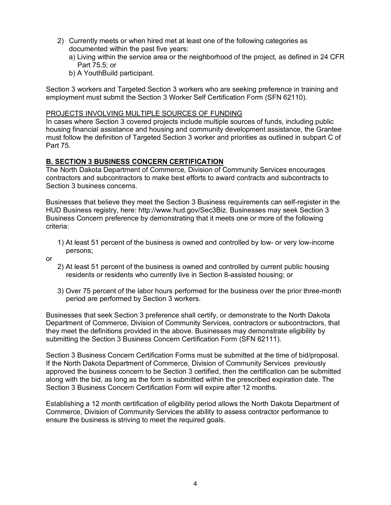- 2) Currently meets or when hired met at least one of the following categories as documented within the past five years:
	- a) Living within the service area or the neighborhood of the project, as defined in 24 CFR Part 75.5; or
	- b) A YouthBuild participant.

Section 3 workers and Targeted Section 3 workers who are seeking preference in training and employment must submit the Section 3 Worker Self Certification Form (SFN 62110).

### PROJECTS INVOLVING MULTIPLE SOURCES OF FUNDING

In cases where Section 3 covered projects include multiple sources of funds, including public housing financial assistance and housing and community development assistance, the Grantee must follow the definition of Targeted Section 3 worker and priorities as outlined in subpart C of Part 75.

## **B. SECTION 3 BUSINESS CONCERN CERTIFICATION**

The North Dakota Department of Commerce, Division of Community Services encourages contractors and subcontractors to make best efforts to award contracts and subcontracts to Section 3 business concerns.

Businesses that believe they meet the Section 3 Business requirements can self-register in the HUD Business registry, here: http://www.hud.gov/Sec3Biz. Businesses may seek Section 3 Business Concern preference by demonstrating that it meets one or more of the following criteria:

- 1) At least 51 percent of the business is owned and controlled by low- or very low-income persons;
- or
- 2) At least 51 percent of the business is owned and controlled by current public housing residents or residents who currently live in Section 8-assisted housing; or
- 3) Over 75 percent of the labor hours performed for the business over the prior three-month period are performed by Section 3 workers.

Businesses that seek Section 3 preference shall certify, or demonstrate to the North Dakota Department of Commerce, Division of Community Services, contractors or subcontractors, that they meet the definitions provided in the above. Businesses may demonstrate eligibility by submitting the Section 3 Business Concern Certification Form (SFN 62111).

Section 3 Business Concern Certification Forms must be submitted at the time of bid/proposal. If the North Dakota Department of Commerce, Division of Community Services previously approved the business concern to be Section 3 certified, then the certification can be submitted along with the bid, as long as the form is submitted within the prescribed expiration date. The Section 3 Business Concern Certification Form will expire after 12 months.

Establishing a 12 month certification of eligibility period allows the North Dakota Department of Commerce, Division of Community Services the ability to assess contractor performance to ensure the business is striving to meet the required goals.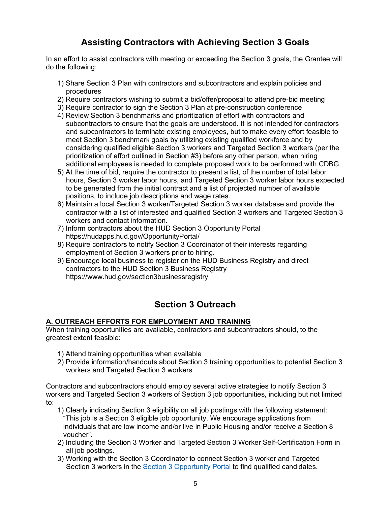# **Assisting Contractors with Achieving Section 3 Goals**

In an effort to assist contractors with meeting or exceeding the Section 3 goals, the Grantee will do the following:

- 1) Share Section 3 Plan with contractors and subcontractors and explain policies and procedures
- 2) Require contractors wishing to submit a bid/offer/proposal to attend pre-bid meeting
- 3) Require contractor to sign the Section 3 Plan at pre-construction conference
- 4) Review Section 3 benchmarks and prioritization of effort with contractors and subcontractors to ensure that the goals are understood. It is not intended for contractors and subcontractors to terminate existing employees, but to make every effort feasible to meet Section 3 benchmark goals by utilizing existing qualified workforce and by considering qualified eligible Section 3 workers and Targeted Section 3 workers (per the prioritization of effort outlined in Section #3) before any other person, when hiring additional employees is needed to complete proposed work to be performed with CDBG.
- 5) At the time of bid, require the contractor to present a list, of the number of total labor hours, Section 3 worker labor hours, and Targeted Section 3 worker labor hours expected to be generated from the initial contract and a list of projected number of available positions, to include job descriptions and wage rates.
- 6) Maintain a local Section 3 worker/Targeted Section 3 worker database and provide the contractor with a list of interested and qualified Section 3 workers and Targeted Section 3 workers and contact information.
- 7) Inform contractors about the HUD Section 3 Opportunity Portal https://hudapps.hud.gov/OpportunityPortal/
- 8) Require contractors to notify Section 3 Coordinator of their interests regarding employment of Section 3 workers prior to hiring.
- 9) Encourage local business to register on the HUD Business Registry and direct contractors to the HUD Section 3 Business Registry https://www.hud.gov/section3businessregistry

# **Section 3 Outreach**

## **A. OUTREACH EFFORTS FOR EMPLOYMENT AND TRAINING**

When training opportunities are available, contractors and subcontractors should, to the greatest extent feasible:

- 1) Attend training opportunities when available
- 2) Provide information/handouts about Section 3 training opportunities to potential Section 3 workers and Targeted Section 3 workers

Contractors and subcontractors should employ several active strategies to notify Section 3 workers and Targeted Section 3 workers of Section 3 job opportunities, including but not limited to:

- 1) Clearly indicating Section 3 eligibility on all job postings with the following statement: "This job is a Section 3 eligible job opportunity. We encourage applications from individuals that are low income and/or live in Public Housing and/or receive a Section 8 voucher".
- 2) Including the Section 3 Worker and Targeted Section 3 Worker Self-Certification Form in all job postings.
- 3) Working with the Section 3 Coordinator to connect Section 3 worker and Targeted Section 3 workers in the [Section 3 Opportunity Portal](https://hudapps.hud.gov/OpportunityPortal/) to find qualified candidates.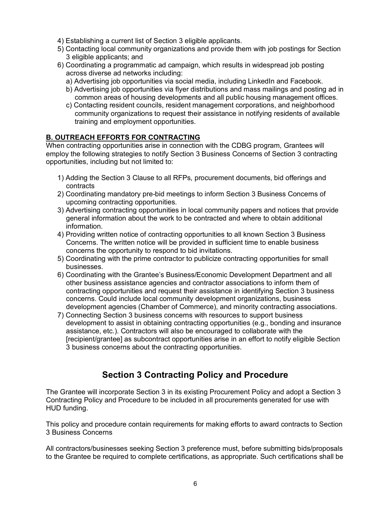- 4) Establishing a current list of Section 3 eligible applicants.
- 5) Contacting local community organizations and provide them with job postings for Section 3 eligible applicants; and
- 6) Coordinating a programmatic ad campaign, which results in widespread job posting across diverse ad networks including:
	- a) Advertising job opportunities via social media, including LinkedIn and Facebook.
	- b) Advertising job opportunities via flyer distributions and mass mailings and posting ad in common areas of housing developments and all public housing management offices.
	- c) Contacting resident councils, resident management corporations, and neighborhood community organizations to request their assistance in notifying residents of available training and employment opportunities.

# **B. OUTREACH EFFORTS FOR CONTRACTING**

When contracting opportunities arise in connection with the CDBG program, Grantees will employ the following strategies to notify Section 3 Business Concerns of Section 3 contracting opportunities, including but not limited to:

- 1) Adding the Section 3 Clause to all RFPs, procurement documents, bid offerings and contracts
- 2) Coordinating mandatory pre-bid meetings to inform Section 3 Business Concerns of upcoming contracting opportunities.
- 3) Advertising contracting opportunities in local community papers and notices that provide general information about the work to be contracted and where to obtain additional information.
- 4) Providing written notice of contracting opportunities to all known Section 3 Business Concerns. The written notice will be provided in sufficient time to enable business concerns the opportunity to respond to bid invitations.
- 5) Coordinating with the prime contractor to publicize contracting opportunities for small businesses.
- 6) Coordinating with the Grantee's Business/Economic Development Department and all other business assistance agencies and contractor associations to inform them of contracting opportunities and request their assistance in identifying Section 3 business concerns. Could include local community development organizations, business development agencies (Chamber of Commerce), and minority contracting associations.
- 7) Connecting Section 3 business concerns with resources to support business development to assist in obtaining contracting opportunities (e.g., bonding and insurance assistance, etc.). Contractors will also be encouraged to collaborate with the [recipient/grantee] as subcontract opportunities arise in an effort to notify eligible Section 3 business concerns about the contracting opportunities.

# **Section 3 Contracting Policy and Procedure**

The Grantee will incorporate Section 3 in its existing Procurement Policy and adopt a Section 3 Contracting Policy and Procedure to be included in all procurements generated for use with HUD funding.

This policy and procedure contain requirements for making efforts to award contracts to Section 3 Business Concerns

All contractors/businesses seeking Section 3 preference must, before submitting bids/proposals to the Grantee be required to complete certifications, as appropriate. Such certifications shall be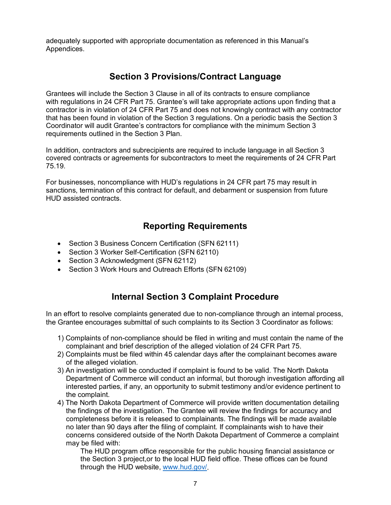adequately supported with appropriate documentation as referenced in this Manual's Appendices.

# **Section 3 Provisions/Contract Language**

Grantees will include the Section 3 Clause in all of its contracts to ensure compliance with regulations in 24 CFR Part 75. Grantee's will take appropriate actions upon finding that a contractor is in violation of 24 CFR Part 75 and does not knowingly contract with any contractor that has been found in violation of the Section 3 regulations. On a periodic basis the Section 3 Coordinator will audit Grantee's contractors for compliance with the minimum Section 3 requirements outlined in the Section 3 Plan.

In addition, contractors and subrecipients are required to include language in all Section 3 covered contracts or agreements for subcontractors to meet the requirements of 24 CFR Part 75.19.

For businesses, noncompliance with HUD's regulations in 24 CFR part 75 may result in sanctions, termination of this contract for default, and debarment or suspension from future HUD assisted contracts.

# **Reporting Requirements**

- Section 3 Business Concern Certification (SFN 62111)
- Section 3 Worker Self-Certification (SFN 62110)
- Section 3 Acknowledgment (SFN 62112)
- Section 3 Work Hours and Outreach Efforts (SFN 62109)

# **Internal Section 3 Complaint Procedure**

In an effort to resolve complaints generated due to non-compliance through an internal process, the Grantee encourages submittal of such complaints to its Section 3 Coordinator as follows:

- 1) Complaints of non-compliance should be filed in writing and must contain the name of the complainant and brief description of the alleged violation of 24 CFR Part 75.
- 2) Complaints must be filed within 45 calendar days after the complainant becomes aware of the alleged violation.
- 3) An investigation will be conducted if complaint is found to be valid. The North Dakota Department of Commerce will conduct an informal, but thorough investigation affording all interested parties, if any, an opportunity to submit testimony and/or evidence pertinent to the complaint.
- 4) The North Dakota Department of Commerce will provide written documentation detailing the findings of the investigation. The Grantee will review the findings for accuracy and completeness before it is released to complainants. The findings will be made available no later than 90 days after the filing of complaint. If complainants wish to have their concerns considered outside of the North Dakota Department of Commerce a complaint may be filed with:

The HUD program office responsible for the public housing financial assistance or the Section 3 project,or to the local HUD field office. These offices can be found through the HUD website, [www.hud.gov/.](http://www.hud.gov/)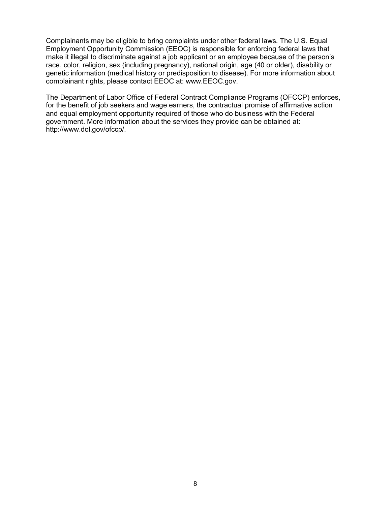Complainants may be eligible to bring complaints under other federal laws. The U.S. Equal Employment Opportunity Commission (EEOC) is responsible for enforcing federal laws that make it illegal to discriminate against a job applicant or an employee because of the person's race, color, religion, sex (including pregnancy), national origin, age (40 or older), disability or genetic information (medical history or predisposition to disease). For more information about complainant rights, please contact EEOC at: www.EEOC.gov.

The Department of Labor Office of Federal Contract Compliance Programs (OFCCP) enforces, for the benefit of job seekers and wage earners, the contractual promise of affirmative action and equal employment opportunity required of those who do business with the Federal government. More information about the services they provide can be obtained at: http://www.dol.gov/ofccp/.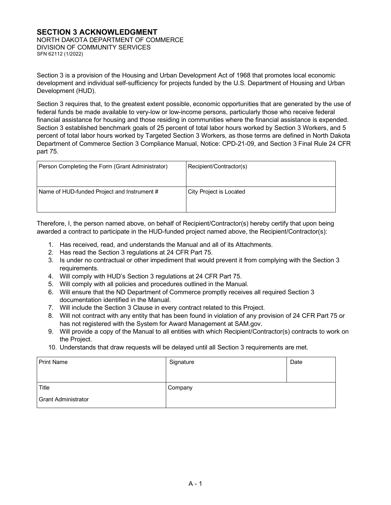# **SECTION 3 ACKNOWLEDGMENT**

NORTH DAKOTA DEPARTMENT OF COMMERCE DIVISION OF COMMUNITY SERVICES SFN 62112 (1/2022)

Section 3 is a provision of the Housing and Urban Development Act of 1968 that promotes local economic development and individual self-sufficiency for projects funded by the U.S. Department of Housing and Urban Development (HUD).

Section 3 requires that, to the greatest extent possible, economic opportunities that are generated by the use of federal funds be made available to very-low or low-income persons, particularly those who receive federal financial assistance for housing and those residing in communities where the financial assistance is expended. Section 3 established benchmark goals of 25 percent of total labor hours worked by Section 3 Workers, and 5 percent of total labor hours worked by Targeted Section 3 Workers, as those terms are defined in North Dakota Department of Commerce Section 3 Compliance Manual, Notice: CPD-21-09, and Section 3 Final Rule 24 CFR part 75.

| Person Completing the Form (Grant Administrator) | Recipient/Contractor(s) |
|--------------------------------------------------|-------------------------|
| Name of HUD-funded Project and Instrument #      | City Project is Located |

Therefore, I, the person named above, on behalf of Recipient/Contractor(s) hereby certify that upon being awarded a contract to participate in the HUD-funded project named above, the Recipient/Contractor(s):

- 1. Has received, read, and understands the Manual and all of its Attachments.
- 2. Has read the Section 3 regulations at 24 CFR Part 75.
- 3. Is under no contractual or other impediment that would prevent it from complying with the Section 3 requirements.
- 4. Will comply with HUD's Section 3 regulations at 24 CFR Part 75.
- 5. Will comply with all policies and procedures outlined in the Manual.
- 6. Will ensure that the ND Department of Commerce promptly receives all required Section 3 documentation identified in the Manual.
- 7. Will include the Section 3 Clause in every contract related to this Project.
- 8. Will not contract with any entity that has been found in violation of any provision of 24 CFR Part 75 or has not registered with the System for Award Management at SAM.gov.
- 9. Will provide a copy of the Manual to all entities with which Recipient/Contractor(s) contracts to work on the Project.
- 10. Understands that draw requests will be delayed until all Section 3 requirements are met.

| <b>Print Name</b>          | Signature | Date |
|----------------------------|-----------|------|
| Title                      | Company   |      |
| <b>Grant Administrator</b> |           |      |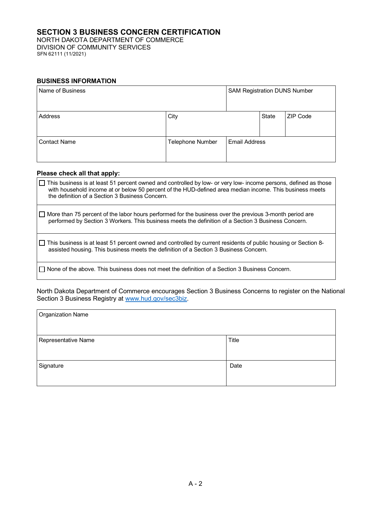## **SECTION 3 BUSINESS CONCERN CERTIFICATION**

NORTH DAKOTA DEPARTMENT OF COMMERCE DIVISION OF COMMUNITY SERVICES SFN 62111 (11/2021)

#### **BUSINESS INFORMATION**

| Name of Business    |                  | <b>SAM Registration DUNS Number</b> |              |          |
|---------------------|------------------|-------------------------------------|--------------|----------|
| Address             | City             |                                     | <b>State</b> | ZIP Code |
| <b>Contact Name</b> | Telephone Number | <b>Email Address</b>                |              |          |

#### **Please check all that apply:**

| □ This business is at least 51 percent owned and controlled by low- or very low- income persons, defined as those<br>with household income at or below 50 percent of the HUD-defined area median income. This business meets<br>the definition of a Section 3 Business Concern. |
|---------------------------------------------------------------------------------------------------------------------------------------------------------------------------------------------------------------------------------------------------------------------------------|
| $\Box$ More than 75 percent of the labor hours performed for the business over the previous 3-month period are<br>performed by Section 3 Workers. This business meets the definition of a Section 3 Business Concern.                                                           |
| □ This business is at least 51 percent owned and controlled by current residents of public housing or Section 8-<br>assisted housing. This business meets the definition of a Section 3 Business Concern.                                                                       |
| $\Box$ None of the above. This business does not meet the definition of a Section 3 Business Concern.                                                                                                                                                                           |

North Dakota Department of Commerce encourages Section 3 Business Concerns to register on the National Section 3 Business Registry at <u>www.hud.gov/sec3biz</u>.

| Organization Name   |       |  |  |
|---------------------|-------|--|--|
|                     |       |  |  |
| Representative Name | Title |  |  |
|                     |       |  |  |
| Signature           | Date  |  |  |
|                     |       |  |  |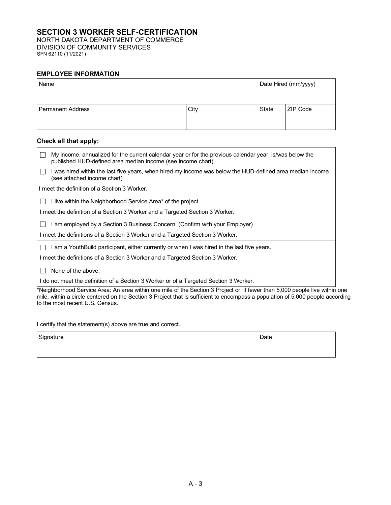## **SECTION 3 WORKER SELF-CERTIFICATION**

NORTH DAKOTA DEPARTMENT OF COMMERCE DIVISION OF COMMUNITY SERVICES SFN 62110 (11/2021)

#### **EMPLOYEE INFORMATION**

| Name                     |      | Date Hired (mm/yyyy) |                 |
|--------------------------|------|----------------------|-----------------|
| <b>Permanent Address</b> | City | <b>State</b>         | <b>ZIP Code</b> |

## **Check all that apply:**

| $\Box$ | My income, annualized for the current calendar year or for the previous calendar year, is/was below the<br>published HUD-defined area median income (see income chart) |
|--------|------------------------------------------------------------------------------------------------------------------------------------------------------------------------|
|        | I was hired within the last five years, when hired my income was below the HUD-defined area median income.<br>(see attached income chart)                              |
|        | I meet the definition of a Section 3 Worker.                                                                                                                           |
|        | I live within the Neighborhood Service Area* of the project.                                                                                                           |
|        | I meet the definition of a Section 3 Worker and a Targeted Section 3 Worker.                                                                                           |
|        | I am employed by a Section 3 Business Concern. (Confirm with your Employer)                                                                                            |
|        | I meet the definitions of a Section 3 Worker and a Targeted Section 3 Worker.                                                                                          |
|        | I am a YouthBuild participant, either currently or when I was hired in the last five years.                                                                            |
|        | I meet the definitions of a Section 3 Worker and a Targeted Section 3 Worker.                                                                                          |
|        | None of the above.                                                                                                                                                     |
|        | do not meet the definition of a Section 3 Worker or of a Targeted Section 3 Worker.                                                                                    |
|        | *Neighborhood Service Area: An area within one mile of the Section 3 Project or, if fewer than 5,000 people live within one                                            |

I certify that the statement(s) above are true and correct.

to the most recent U.S. Census.

| Signature | Date |
|-----------|------|
|           |      |

mile, within a circle centered on the Section 3 Project that is sufficient to encompass a population of 5,000 people according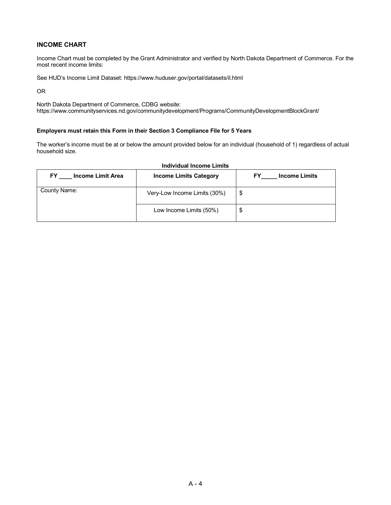#### **INCOME CHART**

Income Chart must be completed by the Grant Administrator and verified by North Dakota Department of Commerce. For the most recent income limits:

See HUD's Income Limit Dataset:<https://www.huduser.gov/portal/datasets/il.html>

OR

North Dakota Department of Commerce, CDBG website: https://www.communityservices.nd.gov/communitydevelopment/Programs/CommunityDevelopmentBlockGrant/

#### **Employers must retain this Form in their Section 3 Compliance File for 5 Years**

The worker's income must be at or below the amount provided below for an individual (household of 1) regardless of actual household size.

| FY<br><b>Income Limit Area</b> | <b>Income Limits Category</b> | <b>Income Limits</b> |
|--------------------------------|-------------------------------|----------------------|
| County Name:                   | Very-Low Income Limits (30%)  | S                    |
|                                | Low Income Limits (50%)       | S                    |

#### **Individual Income Limits**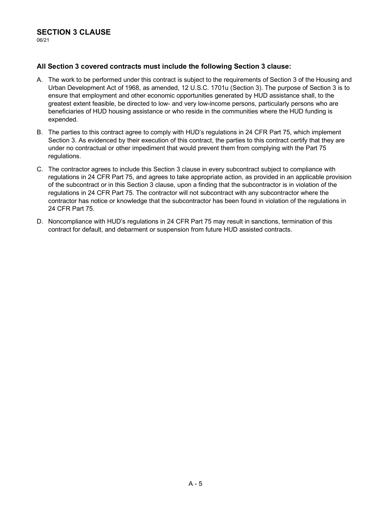## **All Section 3 covered contracts must include the following Section 3 clause:**

- A. The work to be performed under this contract is subject to the requirements of Section 3 of the Housing and Urban Development Act of 1968, as amended, 12 U.S.C. 1701u (Section 3). The purpose of Section 3 is to ensure that employment and other economic opportunities generated by HUD assistance shall, to the greatest extent feasible, be directed to low- and very low-income persons, particularly persons who are beneficiaries of HUD housing assistance or who reside in the communities where the HUD funding is expended.
- B. The parties to this contract agree to comply with HUD's regulations in 24 CFR Part 75, which implement Section 3. As evidenced by their execution of this contract, the parties to this contract certify that they are under no contractual or other impediment that would prevent them from complying with the Part 75 regulations.
- C. The contractor agrees to include this Section 3 clause in every subcontract subject to compliance with regulations in 24 CFR Part 75, and agrees to take appropriate action, as provided in an applicable provision of the subcontract or in this Section 3 clause, upon a finding that the subcontractor is in violation of the regulations in 24 CFR Part 75. The contractor will not subcontract with any subcontractor where the contractor has notice or knowledge that the subcontractor has been found in violation of the regulations in 24 CFR Part 75.
- D. Noncompliance with HUD's regulations in 24 CFR Part 75 may result in sanctions, termination of this contract for default, and debarment or suspension from future HUD assisted contracts.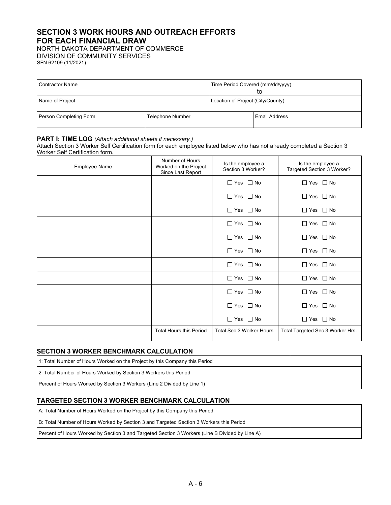# **SECTION 3 WORK HOURS AND OUTREACH EFFORTS FOR EACH FINANCIAL DRAW**

NORTH DAKOTA DEPARTMENT OF COMMERCE DIVISION OF COMMUNITY SERVICES SFN 62109 (11/2021)

| <b>Contractor Name</b> |                         | Time Period Covered (mm/dd/yyyy)<br>tο |                      |
|------------------------|-------------------------|----------------------------------------|----------------------|
| Name of Project        |                         | Location of Project (City/County)      |                      |
| Person Completing Form | <b>Telephone Number</b> |                                        | <b>Email Address</b> |

#### **PART I: TIME LOG** *(Attach additional sheets if necessary.)*

Attach Section 3 Worker Self Certification form for each employee listed below who has not already completed a Section 3 Worker Self Certification form.

| Employee Name | Number of Hours<br>Worked on the Project<br>Since Last Report | Is the employee a<br>Section 3 Worker? | Is the employee a<br>Targeted Section 3 Worker? |
|---------------|---------------------------------------------------------------|----------------------------------------|-------------------------------------------------|
|               |                                                               | $\Box$ Yes $\Box$ No                   | $\Box$ Yes $\Box$ No                            |
|               |                                                               | $\Box$ Yes $\Box$ No                   | $\Box$ No<br>$\square$ Yes                      |
|               |                                                               | $\Box$ Yes $\Box$ No                   | $\Box$ Yes $\Box$ No                            |
|               |                                                               | $\Box$ Yes $\Box$ No                   | $\Box$ Yes $\Box$ No                            |
|               |                                                               | $\Box$ Yes $\Box$ No                   | $\Box$ Yes $\Box$ No                            |
|               |                                                               | $\Box$ Yes $\Box$ No                   | $\Box$ Yes $\Box$ No                            |
|               |                                                               | $\Box$ Yes $\Box$ No                   | $\Box$ Yes $\Box$ No                            |
|               |                                                               | $\Box$ Yes $\Box$ No                   | $\Box$ Yes $\Box$ No                            |
|               |                                                               | $\Box$ Yes $\Box$ No                   | $\Box$ Yes $\Box$ No                            |
|               |                                                               | $\Box$ Yes $\Box$ No                   | $\Box$ Yes $\Box$ No                            |
|               |                                                               | $\Box$ Yes $\Box$ No                   | $\Box$ Yes $\Box$ No                            |
|               | <b>Total Hours this Period</b>                                | <b>Total Sec 3 Worker Hours</b>        | Total Targeted Sec 3 Worker Hrs.                |

#### **SECTION 3 WORKER BENCHMARK CALCULATION**

| 1: Total Number of Hours Worked on the Project by this Company this Period |  |
|----------------------------------------------------------------------------|--|
| 2: Total Number of Hours Worked by Section 3 Workers this Period           |  |
| [Percent of Hours Worked by Section 3 Workers (Line 2 Divided by Line 1)   |  |

### **TARGETED SECTION 3 WORKER BENCHMARK CALCULATION**

| A: Total Number of Hours Worked on the Project by this Company this Period                     |  |
|------------------------------------------------------------------------------------------------|--|
| B: Total Number of Hours Worked by Section 3 and Targeted Section 3 Workers this Period        |  |
| Percent of Hours Worked by Section 3 and Targeted Section 3 Workers (Line B Divided by Line A) |  |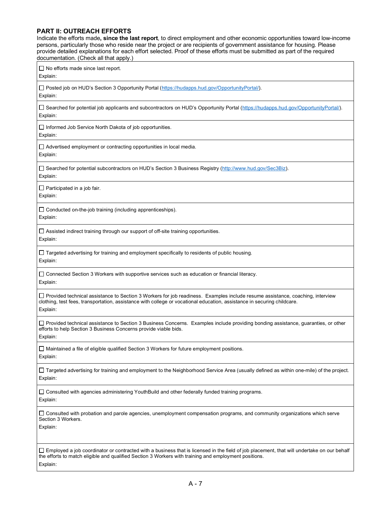#### **PART II: OUTREACH EFFORTS**

Indicate the efforts made**, since the last report**, to direct employment and other economic opportunities toward low-income persons, particularly those who reside near the project or are recipients of government assistance for housing. Please provide detailed explanations for each effort selected. Proof of these efforts must be submitted as part of the required documentation. (Check all that apply.)  $\Box$  No efforts made since last report. Explain: □ Posted job on HUD's Section 3 Opportunity Portal [\(https://hudapps.hud.gov/OpportunityPortal/\).](https://hudapps.hud.gov/OpportunityPortal/) Explain: □ Searched for potential job applicants and subcontractors on HUD's Opportunity Portal [\(https://hudapps.hud.gov/OpportunityPortal/\)](https://hudapps.hud.gov/OpportunityPortal/). Explain: □ Informed Job Service North Dakota of job opportunities. Explain:  $\Box$  Advertised employment or contracting opportunities in local media. Explain: Searched for potential subcontractors on HUD's Section 3 Business Registry [\(http://www.hud.gov/Sec3Biz\)](http://www.hud.gov/Sec3Biz). Explain:  $\Box$  Participated in a job fair. Explain: Conducted on-the-job training (including apprenticeships). Explain: □ Assisted indirect training through our support of off-site training opportunities. Explain:  $\square$  Targeted advertising for training and employment specifically to residents of public housing. Explain:  $\square$  Connected Section 3 Workers with supportive services such as education or financial literacy. Explain: □ Provided technical assistance to Section 3 Workers for job readiness. Examples include resume assistance, coaching, interview clothing, test fees, transportation, assistance with college or vocational education, assistance in securing childcare. Explain: □ Provided technical assistance to Section 3 Business Concerns. Examples include providing bonding assistance, guaranties, or other efforts to help Section 3 Business Concerns provide viable bids. Explain: Maintained a file of eligible qualified Section 3 Workers for future employment positions. Explain: □ Targeted advertising for training and employment to the Neighborhood Service Area (usually defined as within one-mile) of the project. Explain:  $\Box$  Consulted with agencies administering YouthBuild and other federally funded training programs. Explain: Consulted with probation and parole agencies, unemployment compensation programs, and community organizations which serve Section 3 Workers. Explain:  $\Box$  Employed a job coordinator or contracted with a business that is licensed in the field of job placement, that will undertake on our behalf the efforts to match eligible and qualified Section 3 Workers with training and employment positions. Explain: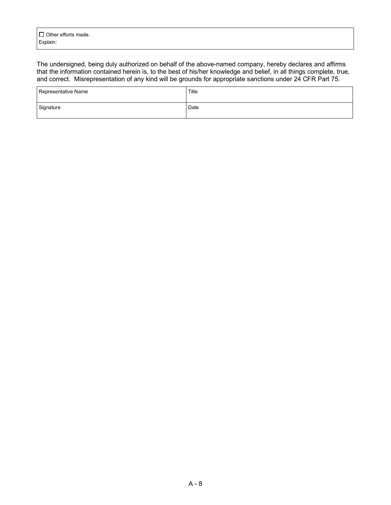The undersigned, being duly authorized on behalf of the above-named company, hereby declares and affirms that the information contained herein is, to the best of his/her knowledge and belief, in all things complete, true, and correct. Misrepresentation of any kind will be grounds for appropriate sanctions under 24 CFR Part 75.

| Representative Name | Title |
|---------------------|-------|
| Signature           | Date  |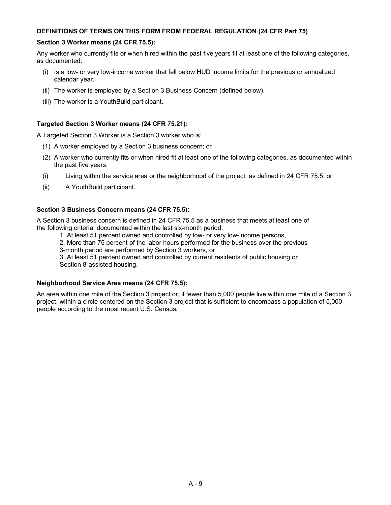#### **DEFINITIONS OF TERMS ON THIS FORM FROM FEDERAL REGULATION (24 CFR Part 75)**

#### **Section 3 Worker means (24 CFR 75.5):**

Any worker who currently fits or when hired within the past five years fit at least one of the following categories, as documented:

- (i) Is a low- or very low-income worker that fell below HUD income limits for the previous or annualized calendar year.
- (ii) The worker is employed by a Section 3 Business Concern (defined below).
- (iii) The worker is a YouthBuild participant.

#### **Targeted Section 3 Worker means (24 CFR 75.21):**

A Targeted Section 3 Worker is a Section 3 worker who is:

- (1) A worker employed by a Section 3 business concern; or
- (2) A worker who currently fits or when hired fit at least one of the following categories, as documented within the past five years:
- (i) Living within the service area or the neighborhood of the project, as defined in 24 CFR 75.5; or
- (ii) A YouthBuild participant.

#### **Section 3 Business Concern means (24 CFR 75.5):**

A Section 3 business concern is defined in 24 CFR 75.5 as a business that meets at least one of the following criteria, documented within the last six-month period:

- 1. At least 51 percent owned and controlled by low- or very low-income persons,
- 2. More than 75 percent of the labor hours performed for the business over the previous
- 3-month period are performed by Section 3 workers, or

3. At least 51 percent owned and controlled by current residents of public housing or Section 8-assisted housing.

#### **Neighborhood Service Area means (24 CFR 75.5):**

An area within one mile of the Section 3 project or, if fewer than 5,000 people live within one mile of a Section 3 project, within a circle centered on the Section 3 project that is sufficient to encompass a population of 5,000 people according to the most recent U.S. Census.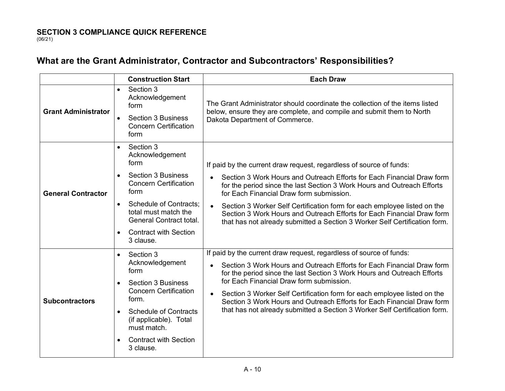# **What are the Grant Administrator, Contractor and Subcontractors' Responsibilities?**

|                            | <b>Construction Start</b>                                                                                                                                                                                                                                  | <b>Each Draw</b>                                                                                                                                                                                                                                                                                                                                                                                                                                                                                                      |
|----------------------------|------------------------------------------------------------------------------------------------------------------------------------------------------------------------------------------------------------------------------------------------------------|-----------------------------------------------------------------------------------------------------------------------------------------------------------------------------------------------------------------------------------------------------------------------------------------------------------------------------------------------------------------------------------------------------------------------------------------------------------------------------------------------------------------------|
| <b>Grant Administrator</b> | Section 3<br>$\bullet$<br>Acknowledgement<br>form<br><b>Section 3 Business</b><br>$\bullet$<br><b>Concern Certification</b><br>form                                                                                                                        | The Grant Administrator should coordinate the collection of the items listed<br>below, ensure they are complete, and compile and submit them to North<br>Dakota Department of Commerce.                                                                                                                                                                                                                                                                                                                               |
| <b>General Contractor</b>  | Section 3<br>Acknowledgement<br>form<br><b>Section 3 Business</b><br><b>Concern Certification</b><br>form<br><b>Schedule of Contracts:</b><br>$\bullet$<br>total must match the<br>General Contract total.<br><b>Contract with Section</b><br>3 clause.    | If paid by the current draw request, regardless of source of funds:<br>Section 3 Work Hours and Outreach Efforts for Each Financial Draw form<br>for the period since the last Section 3 Work Hours and Outreach Efforts<br>for Each Financial Draw form submission.<br>Section 3 Worker Self Certification form for each employee listed on the<br>$\bullet$<br>Section 3 Work Hours and Outreach Efforts for Each Financial Draw form<br>that has not already submitted a Section 3 Worker Self Certification form. |
| <b>Subcontractors</b>      | Section 3<br>$\bullet$<br>Acknowledgement<br>form<br><b>Section 3 Business</b><br><b>Concern Certification</b><br>form.<br><b>Schedule of Contracts</b><br>$\bullet$<br>(if applicable). Total<br>must match.<br><b>Contract with Section</b><br>3 clause. | If paid by the current draw request, regardless of source of funds:<br>Section 3 Work Hours and Outreach Efforts for Each Financial Draw form<br>for the period since the last Section 3 Work Hours and Outreach Efforts<br>for Each Financial Draw form submission.<br>Section 3 Worker Self Certification form for each employee listed on the<br>Section 3 Work Hours and Outreach Efforts for Each Financial Draw form<br>that has not already submitted a Section 3 Worker Self Certification form.              |